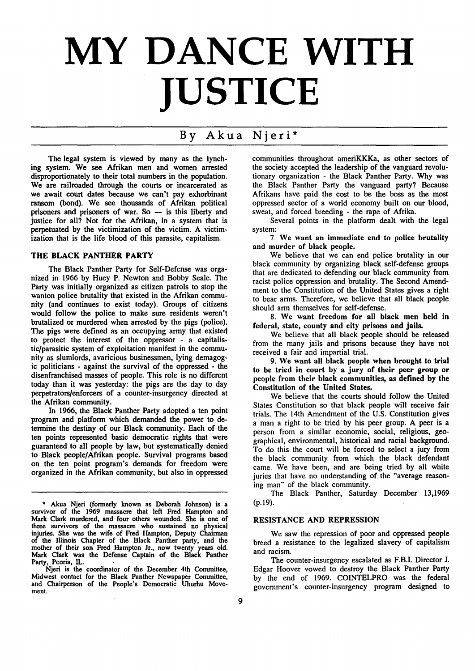# **MY DANCE WITH JUSTICE**

# **By** Akua Njeri\*

The legal system is viewed by many as the lynching system. We see Afrikan men and women arrested disproportionately to their total numbers in the population. We are railroaded through the courts or incarcerated as we await court dates because we can't pay exhorbinant ransom (bond). We see thousands of Afrikan political prisoners and prisoners of war. So - is this liberty and justice for all? Not for the Afrikan, in a system that is perpetuated **by** the victimization of the victim. **A** victimization that is the life blood of this parasite, capitalism.

## **THE BLACK PANTHER PARTY**

The Black Panther Party for Self-Defense was organized in **1966 by** Huey P. Newton and Bobby Seale. The Party was initially organized as citizen patrols to stop the wanton police brutality that existed in the Afrikan community (and continues to exist today). Groups of citizens would follow the police to make sure residents weren't brutalized or murdered when arrested **by** the pigs (police). The pigs were defined as an occupying army that existed to protect the interest of the oppressor - a capitalistic/parasitic system of exploitation manifest in the community as slumlords, avaricious businessmen, lying demagogic politicians **-** against the survival of the oppressed **-** the disenfranchised masses of people. This role is no different today than it was yesterday: the pigs are the day to day perpetrators/enforcers of a counter-insurgency directed at the Afrikan community.

In **1966,** the Black Panther Party adopted a ten point program and platform which demanded the power to determine the destiny of our Black community. Each of the ten points represented basic democratic rights that were guaranteed to all people **by** law, but systematically denied to Black people/Afrikan people. Survival programs based on the ten point program's demands for freedom were organized in the Afrikan community, but also in oppressed

Njeri is the coordinator of the December 4th Committee, Midwest contact for the Black Panther Newspaper Committee, and Chairperson of the People's Democratic Uhurhu Movement.

communities throughout ameriKKKa, as other sectors of the society accepted the leadership of the vanguard revolutionary organization - the Black Panther Party. **Why** was the Black Panther Party the vanguard party? Because Afrikans have paid the cost to be the boss as the most oppressed sector of a world economy built on our blood, sweat, and forced breeding - the rape of Afrika.

Several points in the platform dealt with the legal system:

**7.** We want an immediate end to police brutality and murder of black people.

We believe that we can end police brutality in our black community by organizing black self-defense groups that are dedicated to defending our black community from racist police oppression and brutality. The Second Amendment to the Constitution of the United States gives a right to bear arms. Therefore, we believe that all black people should arm themselves for self-defense.

**8.** We want freedom for all black men held in federal, state, county and city prisons and jails.

We believe that all black people should be released from the many jails and prisons because they have not received a fair and impartial trial.

9. We want all black people when brought to trial to be tried in court **by** a jury of their peer group or people from their black communities, as defined **by** the Constitution of the United States.

We believe that the courts should follow the United States Constitution so that black people will receive fair trials. The 14th Amendment of the U.S. Constitution gives a man a right to be tried by his peer group. A peer is a person from a similar economic, social, religious, geographical, environmental, historical and racial background. To do this the court will be forced to select a jury from the black community from which the black defendant came. We have been, and are being tried by all white juries that have no understanding of the "average reasoning man" of the black community.

The Black Panther, Saturday December 13,1969 (p.19).

# **RESISTANCE AND REPRESSION**

We saw the repression of poor and oppressed people breed a resistance to the legalized slavery of capitalism and racism.

The counter-insurgency escalated as F.B.I. Director J. Edgar Hoover vowed to destroy the Black Panther Party **by** the end of 1969. COINTELPRO was the federal government's counter-insurgency program designed to

**<sup>\*</sup>** Akua Njeri (formerly known as Deborah Johnson) is a survivor of the **1969** massacre that left Fred Hampton and Mark Clark murdered, and four others wounded. She is one of three survivors of the massacre who sustained no physical injuries. She was the wife of Fred Hampton, Deputy Chairman of the Illinois Chapter of the Black Panther party, and the mother of their son Fred Hampton Jr., now twenty years old. Mark Clark was the Defense Captain of the Black Panther Party, Peoria, **IL.**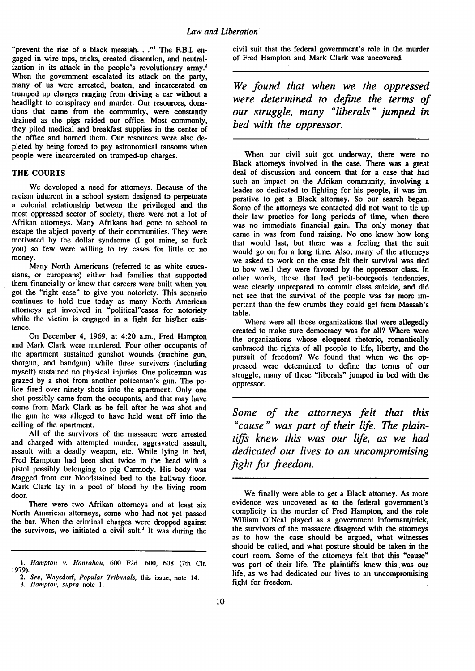"prevent the rise of a black messiah. **.** ."' The F.B.I. engaged in wire taps, tricks, created dissention, and neutralization in its attack in the people's revolutionary army.<sup>2</sup> When the government escalated its attack on the party, many of us were arrested, beaten, and incarcerated on trumped up charges ranging from driving a car without a headlight to conspiracy and murder. Our resources, donations that came from the community, were constantly drained as the pigs raided our office. Most commonly, they piled medical and breakfast supplies in the center of the office and burned them. Our resources were also depleted **by** being forced to pay astronomical ransoms when people were incarcerated on trumped-up charges.

### THE **COURTS**

We developed a need for attorneys. Because of the racism inherent in a school system designed to perpetuate a colonial relationship between the privileged and the most oppressed sector of society, there were not a lot of Afrikan attorneys. Many Afrikans had gone to school to escape the abject poverty of their communities. They were motivated **by** the dollar syndrome (I got mine, so fuck you) so few were willing to try cases for little or no money.

Many North Americans (referred to as white caucasians, or europeans) either had families that supported them financially or knew that careers were built when you got the "right case" to give you notoriety. This scenario continues to hold true today as many North American attorneys get involved in "political"cases for notoriety while the victim is engaged in a fight for his/her existence.

On December 4, 1969, at 4:20 a.m., Fred Hampton and Mark Clark were murdered. Four other occupants of the apartment sustained gunshot wounds (machine gun, shotgun, and handgun) while three survivors (including myself) sustained no physical injuries. One policeman was grazed by a shot from another policeman's gun. The police fired over ninety shots into the apartment. Only one shot possibly came from the occupants, and that may have come from Mark Clark as he fell after he was shot and the gun he was alleged to have held went off into the ceiling of the apartment.

All of the survivors of the massacre were arrested and charged with attempted murder, aggravated assault, assault with a deadly weapon, etc. While lying in bed, Fred Hampton had been shot twice in the head with a pistol possibly belonging to pig Carmody. His body was dragged from our bloodstained bed to the hallway floor. Mark Clark lay in a pool of blood **by** the living room door.

There were two Afrikan attorneys and at least six North American attorneys, some who had not yet passed the bar. When the criminal charges were dropped against the survivors, we initiated a civil suit.<sup>3</sup> It was during the civil suit that the federal government's role in the murder of Fred Hampton and Mark Clark was uncovered.

*We found that when we the oppressed were determined to define the terms of our struggle, many "liberals" jumped in bed with the oppressor.*

When our civil suit got underway, there were no Black attorneys involved in the case. There was a great deal of discussion and concern that for a case that had such an impact on the Afrikan community, involving a leader so dedicated to fighting for his people, it was imperative to get a Black attorney. So our search began. Some of the attorneys we contacted did not want to tie up their law practice for long periods of time, when there was no immediate financial gain. The only money that came in was from fund raising. No one knew how long that would last, but there was a feeling that the suit would go on for a long time. Also, many of the attorneys we asked to work on the case felt their survival was tied to how well they were favored by the oppressor class. In other words, those that had petit-bourgeois tendencies, were clearly unprepared to commit class suicide, and did not see that the survival of the people was far more important than the few crumbs they could get from Massah's table.

Where were all those organizations that were allegedly created to make sure democracy was for all? Where were the organizations whose eloquent rhetoric, romantically embraced the rights of all people to life, liberty, and the pursuit of freedom? We found that when we the oppressed were determined to define the terms of our struggle, many of these "liberals" jumped in bed with the oppressor.

*Some of the attorneys felt that this "cause" was part of their life. The plaintiffs knew this was our life, as we had dedicated our lives to an uncompromising fight for freedom.*

*<sup>1.</sup> Hampton v. Hanrahan,* 600 **F2d.** 600, **608** (7th Cir.

<sup>1979).</sup> *2. See,* Waysdorf, Popular *Tribunals,* this issue, note 14. 3. Hampton, supra note 1.

We finally were able to get a Black attorney. As more evidence was uncovered as to the federal government's complicity in the murder of Fred Hampton, and the role William O'Neal played as a government informant/trick, the survivors of the massacre disagreed with the attorneys as to how the case should be argued, what witnesses should be called, and what posture should be taken in the court room. Some of the attorneys felt that this "cause" was part of their life. The plaintiffs knew this was our life, as we had dedicated our lives to an uncompromising fight for freedom.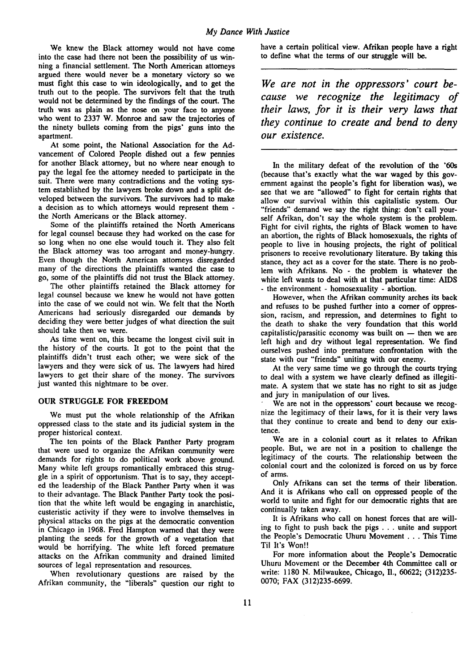We knew the Black attorney would not have come into the case had there not been the possibility of us winning a financial settlement. The North American attorneys argued there would never be a monetary victory so we must fight this case to win ideologically, and to get the truth out to the people. The survivors felt that the truth would not be determined **by** the findings of the court. The truth was as plain as the nose on your face to anyone who went to **2337** W. Monroe and saw the trajectories of the ninety bullets coming from the pigs' guns into the apartment.

At some point, the National Association for the **Ad**vancement of Colored People dished out a few pennies for another Black attorney, but no where near enough to pay the legal fee the attorney needed to participate in the suit. There were many contradictions and the voting system established **by** the lawyers broke down and a split developed between the survivors. The survivors had to make a decision as to which attorneys would represent them  the North Americans or the Black attorney.

Some of the plaintiffs retained the North Americans for legal counsel because they had worked on the case for so long when no one else would touch it. They also felt the Black attorney was too arrogant and money-hungry. Even though the North American attorneys disregarded many of the directions the plaintiffs wanted the case to go, some of the plaintiffs did not trust the Black attorney.

The other plaintiffs retained the Black attorney for legal counsel because we knew he would not have gotten into the case of we could not win. We felt that the North Americans had seriously disregarded our demands **by** deciding they were better judges of what direction the suit should take then we were.

As time went on, this became the longest civil suit in the history of the courts. It got to the point that the plaintiffs didn't trust each other; we were sick of the lawyers and they were sick of us. The lawyers had hired lawyers to get their share of the money. The survivors just wanted this nightmare to be over.

### **OUR STRUGGLE** FOR FREEDOM

We must put the whole relationship of the Afrikan oppressed class to the state and its judicial system in the proper historical context.

The ten points of the Black Panther Party program that were used to organize the Afrikan community were demands for rights to do political work above ground. Many white **left** groups romantically embraced this strug**gle** in a spirit of opportunism. That is to say, they accepted the leadership of the Black Panther Party when it was to their advantage. The Black Panther Party took the position that the white left would be engaging in anarchistic, custeristic activity if they were to involve themselves in physical attacks on the pigs at the democratic convention in Chicago in **1968.** Fred Hampton warned that they were planting the seeds for the growth of a vegetation that would be horrifying. The white left forced premature attacks on the Afrikan community and drained limited sources of legal representation and resources.

When revolutionary questions are raised by the Afrikan community, the "liberals" question our right to

have a certain political view. Afrikan people have a right to define what the terms of our struggle will be.

*We are not in the oppressors' court because we recognize the legitimacy of their laws, for it is their very laws that they continue to create and bend to deny our existence.*

In the military defeat of the revolution of the '60s (because that's exactly what the war waged **by** this government against the people's fight for liberation was), we see that we are "allowed" to fight for certain rights that allow our survival within this capitalistic system. Our "friends" demand we say the right thing: don't call yourself Afrikan, don't say the whole system is the problem. Fight for civil rights, the rights of Black women to have an abortion, the rights of Black homosexuals, the rights of people to live in housing projects, the right of political prisoners to receive revolutionary literature. **By** taking this stance, they act as a cover for the state. There is no problem with Afrikans. No - the problem is whatever the white left wants to deal with at that particular time: AIDS - the environment - homosexuality - abortion.

However, when the Afrikan community arches its back and refuses to be pushed further into a comer of oppression, racism, and repression, and determines to fight to the death to shake the very foundation that this world capitalistic/parasitic economy was built on **-** then we are left high and dry without legal representation. We find ourselves pushed into premature confrontation with the state with our "friends" uniting with our enemy.

At the very same time we go through the courts trying to deal with a system we have clearly defined as illegitimate. A system that we state has no right to sit as judge and jury in manipulation of our lives. We are not in the oppressors' court because we recog-

nize the legitimacy of their laws, for it is their very laws that they continue to create and bend to deny our existence.

We are in a colonial court as it relates to Afrikan people. But, we are not in a position to challenge the legitimacy of the courts. The relationship between the colonial court and the colonized is forced on us **by** force of arms.

Only Afrikans can set the terms of their liberation. And it is Afrikans who call on oppressed people of the world to unite and fight for our democratic rights that are continually taken away.

It is Afrikans who call on honest forces that are willing to fight to push back the pigs **. . .** unite and support the People's Democratic Uhuru Movement **...** This Time Til It's Won!!

For more information about the People's Democratic Uhuru Movement or the December 4th Committee call or write: **1180 N.** Milwaukee, Chicago, II., **60622; (312)235- 0070;** FAX **(312)235-6699.**